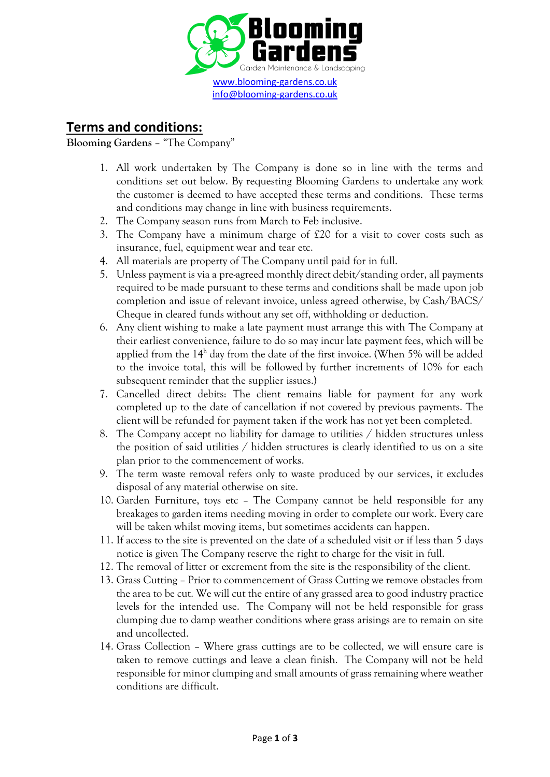

## **Terms and conditions:**

## **Blooming Gardens** – "The Company"

- 1. All work undertaken by The Company is done so in line with the terms and conditions set out below. By requesting Blooming Gardens to undertake any work the customer is deemed to have accepted these terms and conditions. These terms and conditions may change in line with business requirements.
- 2. The Company season runs from March to Feb inclusive.
- 3. The Company have a minimum charge of £20 for a visit to cover costs such as insurance, fuel, equipment wear and tear etc.
- 4. All materials are property of The Company until paid for in full.
- 5. Unless payment is via a pre-agreed monthly direct debit/standing order, all payments required to be made pursuant to these terms and conditions shall be made upon job completion and issue of relevant invoice, unless agreed otherwise, by Cash/BACS/ Cheque in cleared funds without any set off, withholding or deduction.
- 6. Any client wishing to make a late payment must arrange this with The Company at their earliest convenience, failure to do so may incur late payment fees, which will be applied from the  $14<sup>h</sup>$  day from the date of the first invoice. (When 5% will be added to the invoice total, this will be followed by further increments of 10% for each subsequent reminder that the supplier issues.)
- 7. Cancelled direct debits: The client remains liable for payment for any work completed up to the date of cancellation if not covered by previous payments. The client will be refunded for payment taken if the work has not yet been completed.
- 8. The Company accept no liability for damage to utilities / hidden structures unless the position of said utilities / hidden structures is clearly identified to us on a site plan prior to the commencement of works.
- 9. The term waste removal refers only to waste produced by our services, it excludes disposal of any material otherwise on site.
- 10. Garden Furniture, toys etc The Company cannot be held responsible for any breakages to garden items needing moving in order to complete our work. Every care will be taken whilst moving items, but sometimes accidents can happen.
- 11. If access to the site is prevented on the date of a scheduled visit or if less than 5 days notice is given The Company reserve the right to charge for the visit in full.
- 12. The removal of litter or excrement from the site is the responsibility of the client.
- 13. Grass Cutting Prior to commencement of Grass Cutting we remove obstacles from the area to be cut. We will cut the entire of any grassed area to good industry practice levels for the intended use. The Company will not be held responsible for grass clumping due to damp weather conditions where grass arisings are to remain on site and uncollected.
- 14. Grass Collection Where grass cuttings are to be collected, we will ensure care is taken to remove cuttings and leave a clean finish. The Company will not be held responsible for minor clumping and small amounts of grass remaining where weather conditions are difficult.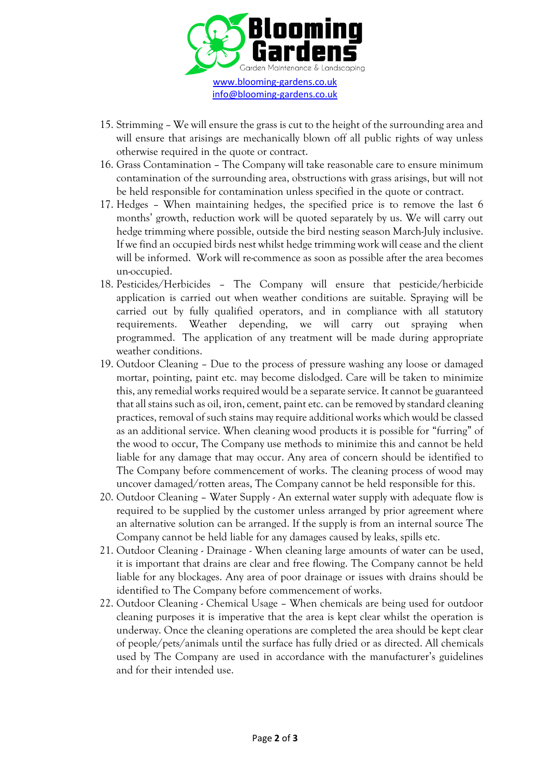

- 15. Strimming We will ensure the grass is cut to the height of the surrounding area and will ensure that arisings are mechanically blown off all public rights of way unless otherwise required in the quote or contract.
- 16. Grass Contamination The Company will take reasonable care to ensure minimum contamination of the surrounding area, obstructions with grass arisings, but will not be held responsible for contamination unless specified in the quote or contract.
- 17. Hedges When maintaining hedges, the specified price is to remove the last 6 months' growth, reduction work will be quoted separately by us. We will carry out hedge trimming where possible, outside the bird nesting season March-July inclusive. If we find an occupied birds nest whilst hedge trimming work will cease and the client will be informed. Work will re-commence as soon as possible after the area becomes un-occupied.
- 18. Pesticides/Herbicides The Company will ensure that pesticide/herbicide application is carried out when weather conditions are suitable. Spraying will be carried out by fully qualified operators, and in compliance with all statutory requirements. Weather depending, we will carry out spraying when programmed. The application of any treatment will be made during appropriate weather conditions.
- 19. Outdoor Cleaning Due to the process of pressure washing any loose or damaged mortar, pointing, paint etc. may become dislodged. Care will be taken to minimize this, any remedial works required would be a separate service. It cannot be guaranteed that all stains such as oil, iron, cement, paint etc.can be removed by standard cleaning practices, removal of such stains may require additional works which would be classed as an additional service. When cleaning wood products it is possible for "furring" of the wood to occur, The Company use methods to minimize this and cannot be held liable for any damage that may occur. Any area of concern should be identified to The Company before commencement of works. The cleaning process of wood may uncover damaged/rotten areas, The Company cannot be held responsible for this.
- 20. Outdoor Cleaning Water Supply An external water supply with adequate flow is required to be supplied by the customer unless arranged by prior agreement where an alternative solution can be arranged. If the supply is from an internal source The Company cannot be held liable for any damages caused by leaks, spills etc.
- 21. Outdoor Cleaning Drainage When cleaning large amounts of water can be used, it is important that drains are clear and free flowing. The Company cannot be held liable for any blockages. Any area of poor drainage or issues with drains should be identified to The Company before commencement of works.
- 22. Outdoor Cleaning Chemical Usage When chemicals are being used for outdoor cleaning purposes it is imperative that the area is kept clear whilst the operation is underway. Once the cleaning operations are completed the area should be kept clear of people/pets/animals until the surface has fully dried or as directed. All chemicals used by The Company are used in accordance with the manufacturer's guidelines and for their intended use.